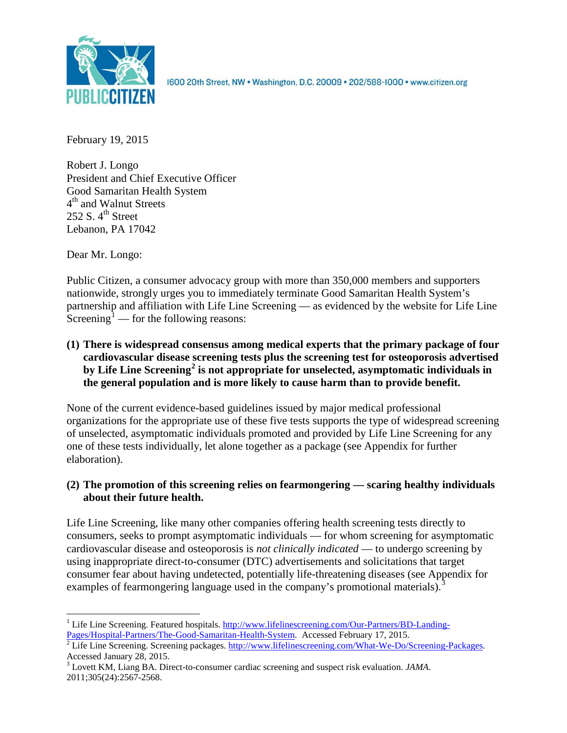

1600 20th Street, NW . Washington, D.C. 20009 . 202/588-1000 . www.citizen.org

February 19, 2015

Robert J. Longo President and Chief Executive Officer Good Samaritan Health System 4<sup>th</sup> and Walnut Streets 252 S.  $4<sup>th</sup>$  Street Lebanon, PA 17042

Dear Mr. Longo:

Public Citizen, a consumer advocacy group with more than 350,000 members and supporters nationwide, strongly urges you to immediately terminate Good Samaritan Health System's partnership and affiliation with Life Line Screening — as evidenced by the website for Life Line  $\text{Screening}^1$  $\text{Screening}^1$  — for the following reasons:

**(1) There is widespread consensus among medical experts that the primary package of four cardiovascular disease screening tests plus the screening test for osteoporosis advertised by Life Line Screening[2](#page-0-1) is not appropriate for unselected, asymptomatic individuals in the general population and is more likely to cause harm than to provide benefit.**

None of the current evidence-based guidelines issued by major medical professional organizations for the appropriate use of these five tests supports the type of widespread screening of unselected, asymptomatic individuals promoted and provided by Life Line Screening for any one of these tests individually, let alone together as a package (see Appendix for further elaboration).

# **(2) The promotion of this screening relies on fearmongering — scaring healthy individuals about their future health.**

Life Line Screening, like many other companies offering health screening tests directly to consumers, seeks to prompt asymptomatic individuals — for whom screening for asymptomatic cardiovascular disease and osteoporosis is *not clinically indicated* — to undergo screening by using inappropriate direct-to-consumer (DTC) advertisements and solicitations that target consumer fear about having undetected, potentially life-threatening diseases (see Appendix for examples of fearmongering language used in the company's promotional materials).<sup>[3](#page-0-2)</sup>

<span id="page-0-0"></span><sup>&</sup>lt;sup>1</sup> Life Line Screening. Featured hospitals. http://www.lifelinescreening.com/Our-Partners/BD-Landing-<br>Pages/Hospital-Partners/The-Good-Samaritan-Health-System. Accessed February 17, 2015.

<span id="page-0-1"></span>Pages 2 Life Line Screening. Screening packages. [http://www.lifelinescreening.com/What-We-Do/Screening-Packages.](http://www.lifelinescreening.com/What-We-Do/Screening-Packages)<br>Accessed January 28, 2015.

<span id="page-0-2"></span><sup>&</sup>lt;sup>3</sup> Lovett KM, Liang BA. Direct-to-consumer cardiac screening and suspect risk evaluation. *JAMA*. 2011;305(24):2567-2568.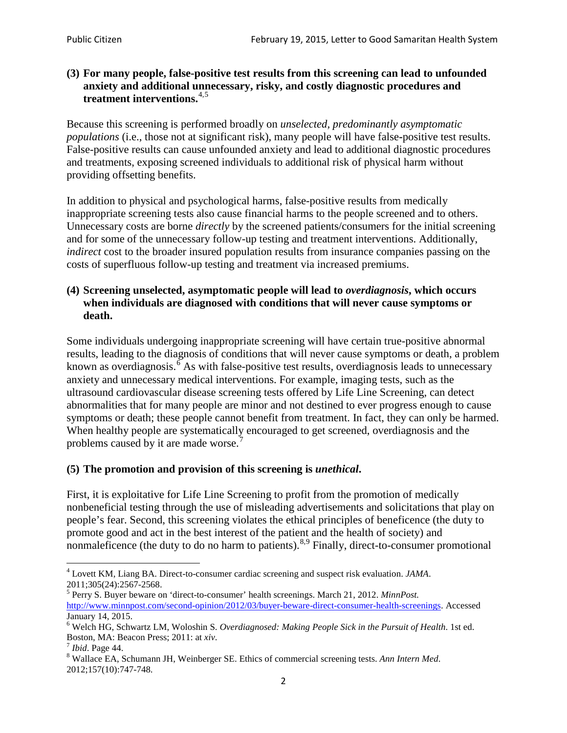## **(3) For many people, false-positive test results from this screening can lead to unfounded anxiety and additional unnecessary, risky, and costly diagnostic procedures and treatment interventions.**[4](#page-1-0),[5](#page-1-1)

Because this screening is performed broadly on *unselected, predominantly asymptomatic populations* (i.e., those not at significant risk), many people will have false**-**positive test results. False-positive results can cause unfounded anxiety and lead to additional diagnostic procedures and treatments, exposing screened individuals to additional risk of physical harm without providing offsetting benefits.

In addition to physical and psychological harms, false-positive results from medically inappropriate screening tests also cause financial harms to the people screened and to others. Unnecessary costs are borne *directly* by the screened patients/consumers for the initial screening and for some of the unnecessary follow-up testing and treatment interventions. Additionally, *indirect* cost to the broader insured population results from insurance companies passing on the costs of superfluous follow-up testing and treatment via increased premiums.

### **(4) Screening unselected, asymptomatic people will lead to** *overdiagnosis***, which occurs when individuals are diagnosed with conditions that will never cause symptoms or death.**

Some individuals undergoing inappropriate screening will have certain true-positive abnormal results, leading to the diagnosis of conditions that will never cause symptoms or death, a problem known as overdiagnosis.<sup>[6](#page-1-2)</sup> As with false-positive test results, overdiagnosis leads to unnecessary anxiety and unnecessary medical interventions. For example, imaging tests, such as the ultrasound cardiovascular disease screening tests offered by Life Line Screening, can detect abnormalities that for many people are minor and not destined to ever progress enough to cause symptoms or death; these people cannot benefit from treatment. In fact, they can only be harmed. When healthy people are systematically encouraged to get screened, overdiagnosis and the problems caused by it are made worse.<sup>[7](#page-1-3)</sup>

## **(5) The promotion and provision of this screening is** *unethical***.**

First, it is exploitative for Life Line Screening to profit from the promotion of medically nonbeneficial testing through the use of misleading advertisements and solicitations that play on people's fear. Second, this screening violates the ethical principles of beneficence (the duty to promote good and act in the best interest of the patient and the health of society) and nonmaleficence (the duty to do no harm to patients).  $8.9$  $8.9$  $8.9$  Finally, direct-to-consumer promotional

<span id="page-1-4"></span>2012;157(10):747-748.

<span id="page-1-5"></span><span id="page-1-0"></span><sup>4</sup> Lovett KM, Liang BA. Direct-to-consumer cardiac screening and suspect risk evaluation. *JAMA*.

<span id="page-1-1"></span><sup>2011;305(24):2567-2568.</sup> <sup>5</sup> Perry S. Buyer beware on 'direct-to-consumer' health screenings. March 21, 2012. *MinnPost.*  [http://www.minnpost.com/second-opinion/2012/03/buyer-beware-direct-consumer-health-screenings.](http://www.minnpost.com/second-opinion/2012/03/buyer-beware-direct-consumer-health-screenings) Accessed January 14, 2015.

<span id="page-1-2"></span><sup>6</sup> Welch HG, Schwartz LM, Woloshin S. *Overdiagnosed: Making People Sick in the Pursuit of Health*. 1st ed. Boston, MA: Beacon Press; 2011: at *xiv*.<br><sup>7</sup> *Ibid*. Page 44.<br><sup>8</sup> Wallace EA, Schumann JH, Weinberger SE. Ethics of commercial screening tests. *Ann Intern Med*.

<span id="page-1-3"></span>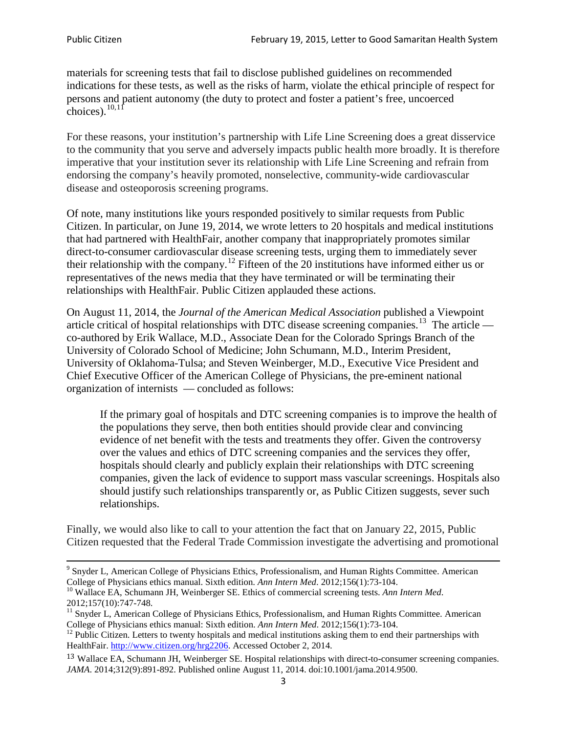materials for screening tests that fail to disclose published guidelines on recommended indications for these tests, as well as the risks of harm, violate the ethical principle of respect for persons and patient autonomy (the duty to protect and foster a patient's free, uncoerced choices). $\frac{10,11}{10,11}$  $\frac{10,11}{10,11}$  $\frac{10,11}{10,11}$  $\frac{10,11}{10,11}$ 

For these reasons, your institution's partnership with Life Line Screening does a great disservice to the community that you serve and adversely impacts public health more broadly. It is therefore imperative that your institution sever its relationship with Life Line Screening and refrain from endorsing the company's heavily promoted, nonselective, community**-**wide cardiovascular disease and osteoporosis screening programs.

Of note, many institutions like yours responded positively to similar requests from Public Citizen. In particular, on June 19, 2014, we wrote letters to 20 hospitals and medical institutions that had partnered with HealthFair, another company that inappropriately promotes similar direct-to-consumer cardiovascular disease screening tests, urging them to immediately sever their relationship with the company. [12](#page-2-2) Fifteen of the 20 institutions have informed either us or representatives of the news media that they have terminated or will be terminating their relationships with HealthFair. Public Citizen applauded these actions.

On August 11, 2014, the *Journal of the American Medical Association* published a Viewpoint article critical of hospital relationships with DTC disease screening companies.<sup>13</sup> The article co-authored by Erik Wallace, M.D., Associate Dean for the Colorado Springs Branch of the University of Colorado School of Medicine; John Schumann, M.D., Interim President, University of Oklahoma-Tulsa; and Steven Weinberger, M.D., Executive Vice President and Chief Executive Officer of the American College of Physicians, the pre**-**eminent national organization of internists — concluded as follows:

If the primary goal of hospitals and DTC screening companies is to improve the health of the populations they serve, then both entities should provide clear and convincing evidence of net benefit with the tests and treatments they offer. Given the controversy over the values and ethics of DTC screening companies and the services they offer, hospitals should clearly and publicly explain their relationships with DTC screening companies, given the lack of evidence to support mass vascular screenings. Hospitals also should justify such relationships transparently or, as Public Citizen suggests, sever such relationships.

Finally, we would also like to call to your attention the fact that on January 22, 2015, Public Citizen requested that the Federal Trade Commission investigate the advertising and promotional

<sup>&</sup>lt;sup>9</sup> Snyder L, American College of Physicians Ethics, Professionalism, and Human Rights Committee. American College of Physicians ethics manual. Sixth edition. Ann Intern Med. 2012;156(1):73-104.

<span id="page-2-0"></span><sup>&</sup>lt;sup>10</sup> Wallace EA, Schumann JH, Weinberger SE. Ethics of commercial screening tests. *Ann Intern Med*. 2012;157(10):747-748.

<span id="page-2-1"></span> $11$  Snyder L, American College of Physicians Ethics, Professionalism, and Human Rights Committee. American College of Physicians ethics manual: Sixth edition. *Ann Intern Med*. 2012;156(1):73-104.<br><sup>12</sup> Public Citizen. Letters to twenty hospitals and medical institutions asking them to end their partnerships with

<span id="page-2-2"></span>HealthFair. [http://www.citizen.org/hrg2206.](http://www.citizen.org/hrg2206) Accessed October 2, 2014.

<span id="page-2-3"></span><sup>13</sup> Wallace EA, Schumann JH, Weinberger SE. Hospital relationships with direct-to-consumer screening companies. *JAMA*. 2014;312(9):891-892. Published online August 11, 2014. doi:10.1001/jama.2014.9500.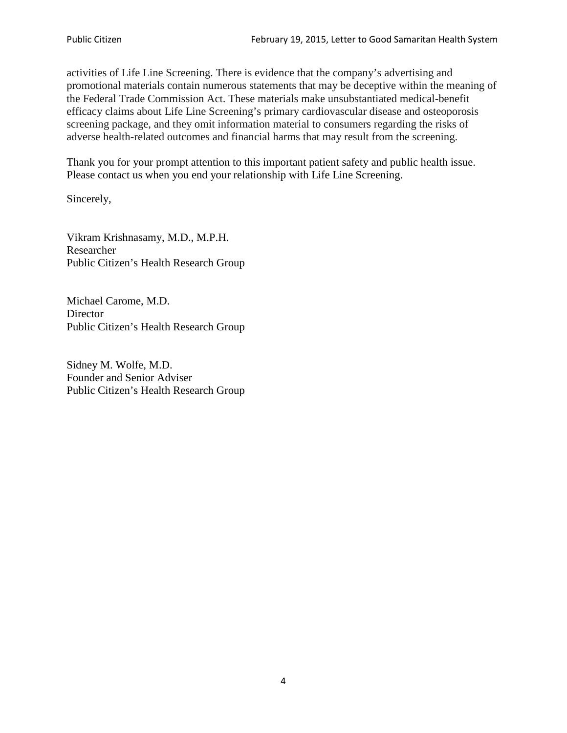activities of Life Line Screening. There is evidence that the company's advertising and promotional materials contain numerous statements that may be deceptive within the meaning of the Federal Trade Commission Act. These materials make unsubstantiated medical-benefit efficacy claims about Life Line Screening's primary cardiovascular disease and osteoporosis screening package, and they omit information material to consumers regarding the risks of adverse health-related outcomes and financial harms that may result from the screening.

Thank you for your prompt attention to this important patient safety and public health issue. Please contact us when you end your relationship with Life Line Screening.

Sincerely,

Vikram Krishnasamy, M.D., M.P.H. Researcher Public Citizen's Health Research Group

Michael Carome, M.D. **Director** Public Citizen's Health Research Group

Sidney M. Wolfe, M.D. Founder and Senior Adviser Public Citizen's Health Research Group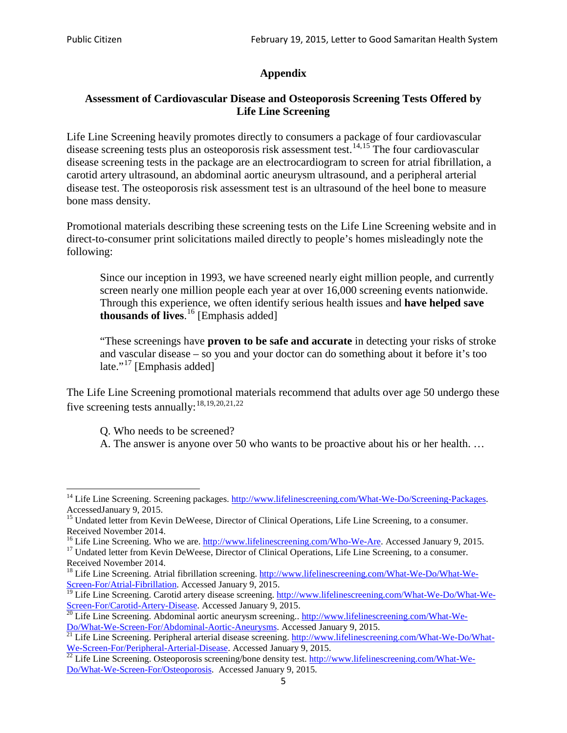# **Appendix**

## **Assessment of Cardiovascular Disease and Osteoporosis Screening Tests Offered by Life Line Screening**

Life Line Screening heavily promotes directly to consumers a package of four cardiovascular disease screening tests plus an osteoporosis risk assessment test.<sup>[14](#page-4-0),[15](#page-4-1)</sup> The four cardiovascular disease screening tests in the package are an electrocardiogram to screen for atrial fibrillation, a carotid artery ultrasound, an abdominal aortic aneurysm ultrasound, and a peripheral arterial disease test. The osteoporosis risk assessment test is an ultrasound of the heel bone to measure bone mass density.

Promotional materials describing these screening tests on the Life Line Screening website and in direct-to-consumer print solicitations mailed directly to people's homes misleadingly note the following:

Since our inception in 1993, we have screened nearly eight million people, and currently screen nearly one million people each year at over 16,000 screening events nationwide. Through this experience, we often identify serious health issues and **have helped save thousands of lives**. [16](#page-4-2) [Emphasis added]

"These screenings have **proven to be safe and accurate** in detecting your risks of stroke and vascular disease – so you and your doctor can do something about it before it's too late."<sup>[17](#page-4-3)</sup> [Emphasis added]

The Life Line Screening promotional materials recommend that adults over age 50 undergo these five screening tests annually:<sup>[18](#page-4-4),[19,](#page-4-5)[20,](#page-4-6)[21](#page-4-7),[22](#page-4-8)</sup>

Q. Who needs to be screened?

A. The answer is anyone over 50 who wants to be proactive about his or her health. …

Received November 2014.<br><sup>16</sup> Life Line Screening. Who we are. http://www.lifelinescreening.com/Who-We-Are. Accessed January 9, 2015.

<span id="page-4-3"></span><span id="page-4-2"></span><sup>17</sup> Undated letter from Kevin DeWeese, Director of Clinical Operations, Life Line Screening, to a consumer. Received November 2014.

<span id="page-4-0"></span><sup>&</sup>lt;sup>14</sup> Life Line Screening. Screening packages. [http://www.lifelinescreening.com/What-We-Do/Screening-Packages.](http://www.lifelinescreening.com/What-We-Do/Screening-Packages) AccessedJanuary 9, 2015.

<span id="page-4-1"></span><sup>&</sup>lt;sup>15</sup> Undated letter from Kevin DeWeese, Director of Clinical Operations, Life Line Screening, to a consumer.

<span id="page-4-4"></span><sup>&</sup>lt;sup>18</sup> Life Line Screening. Atrial fibrillation screening. [http://www.lifelinescreening.com/What-We-Do/What-We-](http://www.lifelinescreening.com/What-We-Do/What-We-Screen-For/Atrial-Fibrillation)[Screen-For/Atrial-Fibrillation.](http://www.lifelinescreening.com/What-We-Do/What-We-Screen-For/Atrial-Fibrillation) Accessed January 9, 2015.

<sup>&</sup>lt;sup>19</sup> Life Line Screening. Carotid artery disease screening. [http://www.lifelinescreening.com/What-We-Do/What-We-](http://www.lifelinescreening.com/What-We-Do/What-We-Screen-For/Carotid-Artery-Disease)

<span id="page-4-6"></span><span id="page-4-5"></span>[Screen-For/Carotid-Artery-Disease.](http://www.lifelinescreening.com/What-We-Do/What-We-Screen-For/Carotid-Artery-Disease) Accessed January 9, 2015.<br><sup>20</sup> Life Line Screening. Abdominal aortic aneurysm screening.. http://www.lifelinescreening.com/What-We-Do/What-We-Do/What-We-Screen-For/Abdominal-Aortic-Aneury

<span id="page-4-7"></span><sup>&</sup>lt;sup>21</sup> Life Line Screening. Peripheral arterial disease screening. [http://www.lifelinescreening.com/What-We-Do/What-](http://www.lifelinescreening.com/What-We-Do/What-We-Screen-For/Peripheral-Arterial-Disease)

<span id="page-4-8"></span>[We-Screen-For/Peripheral-Arterial-Disease.](http://www.lifelinescreening.com/What-We-Do/What-We-Screen-For/Peripheral-Arterial-Disease) Accessed January 9, 2015.<br><sup>22</sup> Life Line Screening. Osteoporosis screening/bone density test. [http://www.lifelinescreening.com/What-We-](http://www.lifelinescreening.com/What-We-Do/What-We-Screen-For/Osteoporosis)[Do/What-We-Screen-For/Osteoporosis.](http://www.lifelinescreening.com/What-We-Do/What-We-Screen-For/Osteoporosis) Accessed January 9, 2015.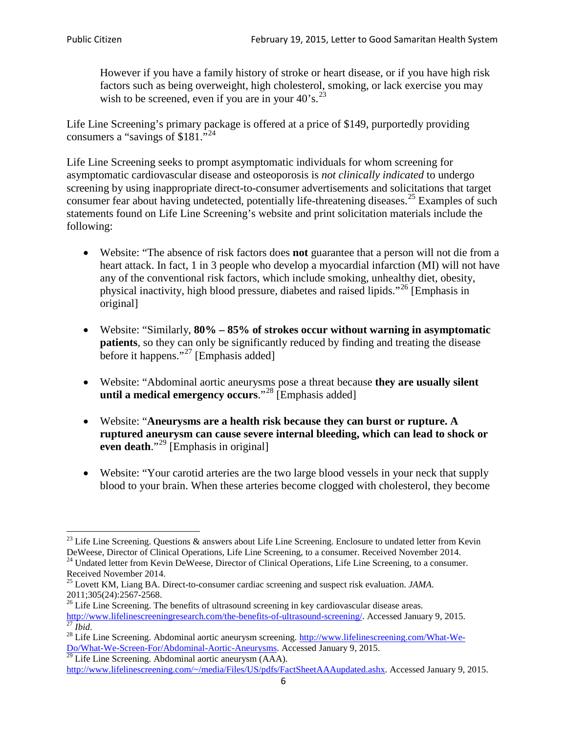However if you have a family history of stroke or heart disease, or if you have high risk factors such as being overweight, high cholesterol, smoking, or lack exercise you may wish to be screened, even if you are in your  $40^\circ$ s.<sup>[23](#page-5-0)</sup>

Life Line Screening's primary package is offered at a price of \$149, purportedly providing consumers a "savings of \$181."<sup>[24](#page-5-1)</sup>

Life Line Screening seeks to prompt asymptomatic individuals for whom screening for asymptomatic cardiovascular disease and osteoporosis is *not clinically indicated* to undergo screening by using inappropriate direct-to-consumer advertisements and solicitations that target consumer fear about having undetected, potentially life-threatening diseases.<sup>[25](#page-5-2)</sup> Examples of such statements found on Life Line Screening's website and print solicitation materials include the following:

- Website: "The absence of risk factors does **not** guarantee that a person will not die from a heart attack. In fact, 1 in 3 people who develop a myocardial infarction (MI) will not have any of the conventional risk factors, which include smoking, unhealthy diet, obesity, physical inactivity, high blood pressure, diabetes and raised lipids."[26](#page-5-3) [Emphasis in original]
- Website: "Similarly, **80% – 85% of strokes occur without warning in asymptomatic patients**, so they can only be significantly reduced by finding and treating the disease before it happens."<sup>[27](#page-5-4)</sup> [Emphasis added]
- Website: "Abdominal aortic aneurysms pose a threat because **they are usually silent until a medical emergency occurs**."[28](#page-5-5) [Emphasis added]
- Website: "**Aneurysms are a health risk because they can burst or rupture. A ruptured aneurysm can cause severe internal bleeding, which can lead to shock or even death.**"<sup>[29](#page-5-6)</sup> [Emphasis in original]
- Website: "Your carotid arteries are the two large blood vessels in your neck that supply blood to your brain. When these arteries become clogged with cholesterol, they become

<span id="page-5-0"></span><sup>&</sup>lt;sup>23</sup> Life Line Screening. Questions  $\&$  answers about Life Line Screening. Enclosure to undated letter from Kevin DeWeese, Director of Clinical Operations, Life Line Screening, to a consumer. Received November 2014.

<span id="page-5-1"></span><sup>&</sup>lt;sup>24</sup> Undated letter from Kevin DeWeese, Director of Clinical Operations, Life Line Screening, to a consumer. Received November 2014.

<span id="page-5-2"></span><sup>25</sup> Lovett KM, Liang BA. Direct-to-consumer cardiac screening and suspect risk evaluation. *JAMA*.  $2011;305(24):2567-2568$ .<br><sup>26</sup> Life Line Screening. The benefits of ultrasound screening in key cardiovascular disease areas.

<span id="page-5-3"></span>[http://www.lifelinescreeningresearch.com/the-benefits-of-ultrasound-screening/.](http://www.lifelinescreeningresearch.com/the-benefits-of-ultrasound-screening/) Accessed January 9, 2015.<br><sup>28</sup> Life Line Screening. Abdominal aortic aneurysm screening. http://www.lifelinescreening.com/What-We-<sup>28</sup>

<span id="page-5-5"></span><span id="page-5-4"></span>[Do/What-We-Screen-For/Abdominal-Aortic-Aneurysms.](http://www.lifelinescreening.com/What-We-Do/What-We-Screen-For/Abdominal-Aortic-Aneurysms) Accessed January 9, 2015. <sup>29</sup> Life Line Screening. Abdominal aortic aneurysm (AAA).

<span id="page-5-6"></span>[http://www.lifelinescreening.com/~/media/Files/US/pdfs/FactSheetAAAupdated.ashx.](http://www.lifelinescreening.com/~/media/Files/US/pdfs/FactSheetAAAupdated.ashx) Accessed January 9, 2015.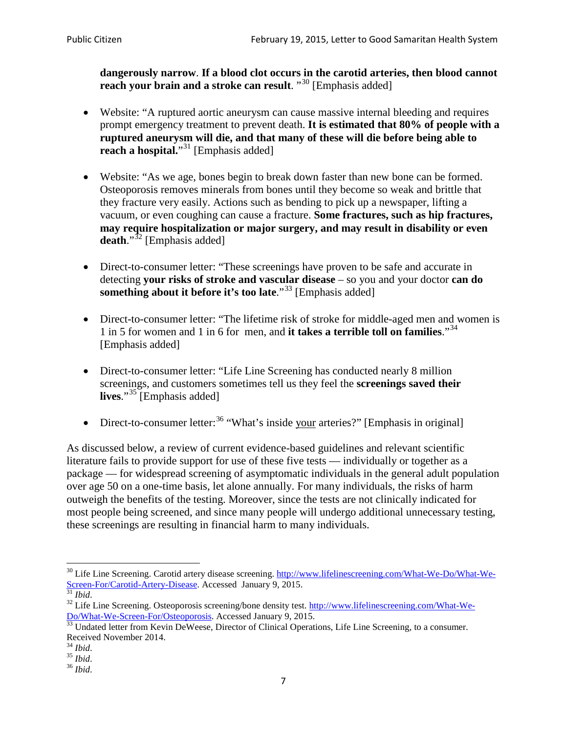**dangerously narrow**. **If a blood clot occurs in the carotid arteries, then blood cannot reach your brain and a stroke can result**. "<sup>[30](#page-6-0)</sup> [Emphasis added]

- Website: "A ruptured aortic aneurysm can cause massive internal bleeding and requires prompt emergency treatment to prevent death. **It is estimated that 80% of people with a ruptured aneurysm will die, and that many of these will die before being able to reach a hospital.**"<sup>[31](#page-6-1)</sup> [Emphasis added]
- Website: "As we age, bones begin to break down faster than new bone can be formed. Osteoporosis removes minerals from bones until they become so weak and brittle that they fracture very easily. Actions such as bending to pick up a newspaper, lifting a vacuum, or even coughing can cause a fracture. **Some fractures, such as hip fractures, may require hospitalization or major surgery, and may result in disability or even**  death."<sup>[32](#page-6-2)</sup> [Emphasis added]
- Direct-to-consumer letter: "These screenings have proven to be safe and accurate in detecting **your risks of stroke and vascular disease** – so you and your doctor **can do something about it before it's too late.**"<sup>[33](#page-6-3)</sup> [Emphasis added]
- Direct-to-consumer letter: "The lifetime risk of stroke for middle-aged men and women is 1 in 5 for women and 1 in 6 for men, and **it takes a terrible toll on families**."[34](#page-6-4) [Emphasis added]
- Direct-to-consumer letter: "Life Line Screening has conducted nearly 8 million screenings, and customers sometimes tell us they feel the **screenings saved their lives**."[35](#page-6-5) [Emphasis added]
- Direct-to-consumer letter:  $36$  "What's inside your arteries?" [Emphasis in original]

As discussed below, a review of current evidence-based guidelines and relevant scientific literature fails to provide support for use of these five tests — individually or together as a package — for widespread screening of asymptomatic individuals in the general adult population over age 50 on a one-time basis, let alone annually. For many individuals, the risks of harm outweigh the benefits of the testing. Moreover, since the tests are not clinically indicated for most people being screened, and since many people will undergo additional unnecessary testing, these screenings are resulting in financial harm to many individuals.

<span id="page-6-0"></span><sup>&</sup>lt;sup>30</sup> Life Line Screening. Carotid artery disease screening. [http://www.lifelinescreening.com/What-We-Do/What-We-](http://www.lifelinescreening.com/What-We-Do/What-We-Screen-For/Carotid-Artery-Disease)[Screen-For/Carotid-Artery-Disease.](http://www.lifelinescreening.com/What-We-Do/What-We-Screen-For/Carotid-Artery-Disease) Accessed January 9, 2015.<br><sup>31</sup> *Ibid.* 32 Life Line Screening. Osteoporosis screening/bone density test. [http://www.lifelinescreening.com/What-We-](http://www.lifelinescreening.com/What-We-Do/What-We-Screen-For/Osteoporosis)

<span id="page-6-2"></span><span id="page-6-1"></span>[Do/What-We-Screen-For/Osteoporosis.](http://www.lifelinescreening.com/What-We-Do/What-We-Screen-For/Osteoporosis) Accessed January 9, 2015. <sup>33</sup> Undated letter from Kevin DeWeese, Director of Clinical Operations, Life Line Screening, to a consumer.

<span id="page-6-3"></span>Received November 2014.<br><sup>34</sup> Ibid.

<span id="page-6-4"></span>

<span id="page-6-5"></span><sup>34</sup> *Ibid*. 35 *Ibid*. 36 *Ibid*.

<span id="page-6-6"></span>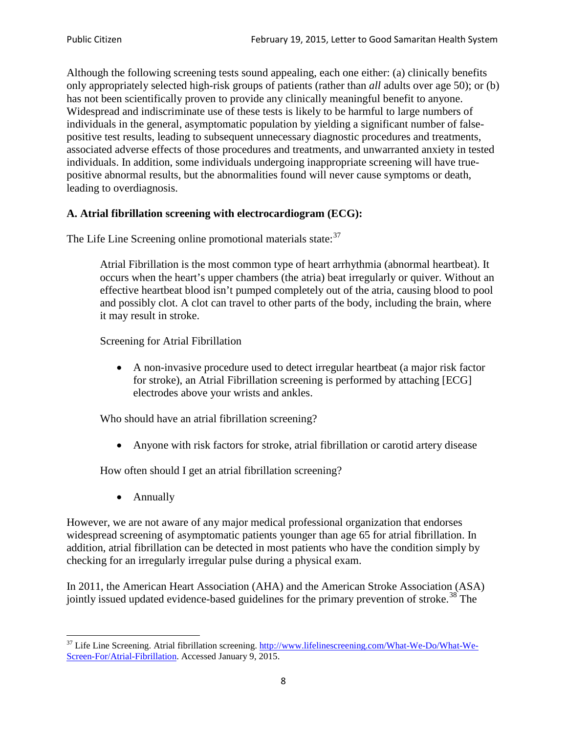Although the following screening tests sound appealing, each one either: (a) clinically benefits only appropriately selected high-risk groups of patients (rather than *all* adults over age 50); or (b) has not been scientifically proven to provide any clinically meaningful benefit to anyone. Widespread and indiscriminate use of these tests is likely to be harmful to large numbers of individuals in the general, asymptomatic population by yielding a significant number of falsepositive test results, leading to subsequent unnecessary diagnostic procedures and treatments, associated adverse effects of those procedures and treatments, and unwarranted anxiety in tested individuals. In addition, some individuals undergoing inappropriate screening will have truepositive abnormal results, but the abnormalities found will never cause symptoms or death, leading to overdiagnosis.

# **A. Atrial fibrillation screening with electrocardiogram (ECG):**

The Life Line Screening online promotional materials state:<sup>[37](#page-7-0)</sup>

Atrial Fibrillation is the most common type of heart arrhythmia (abnormal heartbeat). It occurs when the heart's upper chambers (the atria) beat irregularly or quiver. Without an effective heartbeat blood isn't pumped completely out of the atria, causing blood to pool and possibly clot. A clot can travel to other parts of the body, including the brain, where it may result in stroke.

Screening for Atrial Fibrillation

• A non-invasive procedure used to detect irregular heartbeat (a major risk factor for stroke), an Atrial Fibrillation screening is performed by attaching [ECG] electrodes above your wrists and ankles.

Who should have an atrial fibrillation screening?

• Anyone with risk factors for stroke, atrial fibrillation or carotid artery disease

How often should I get an atrial fibrillation screening?

• Annually

<span id="page-7-1"></span>However, we are not aware of any major medical professional organization that endorses widespread screening of asymptomatic patients younger than age 65 for atrial fibrillation. In addition, atrial fibrillation can be detected in most patients who have the condition simply by checking for an irregularly irregular pulse during a physical exam.

In 2011, the American Heart Association (AHA) and the American Stroke Association (ASA) jointly issued updated evidence-based guidelines for the primary prevention of stroke.<sup>[38](#page-7-1)</sup> The

<span id="page-7-0"></span><sup>&</sup>lt;sup>37</sup> Life Line Screening. Atrial fibrillation screening. [http://www.lifelinescreening.com/What-We-Do/What-We-](http://www.lifelinescreening.com/What-We-Do/What-We-Screen-For/Atrial-Fibrillation)[Screen-For/Atrial-Fibrillation.](http://www.lifelinescreening.com/What-We-Do/What-We-Screen-For/Atrial-Fibrillation) Accessed January 9, 2015.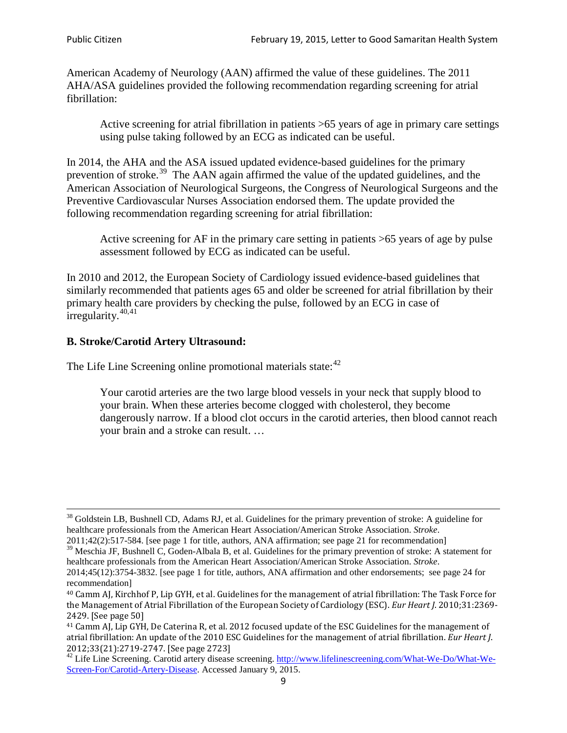American Academy of Neurology (AAN) affirmed the value of these guidelines. The 2011 AHA/ASA guidelines provided the following recommendation regarding screening for atrial fibrillation:

Active screening for atrial fibrillation in patients >65 years of age in primary care settings using pulse taking followed by an ECG as indicated can be useful.

In 2014, the AHA and the ASA issued updated evidence-based guidelines for the primary prevention of stroke.<sup>[39](#page-8-0)</sup> The AAN again affirmed the value of the updated guidelines, and the American Association of Neurological Surgeons, the Congress of Neurological Surgeons and the Preventive Cardiovascular Nurses Association endorsed them. The update provided the following recommendation regarding screening for atrial fibrillation:

Active screening for AF in the primary care setting in patients >65 years of age by pulse assessment followed by ECG as indicated can be useful.

In 2010 and 2012, the European Society of Cardiology issued evidence-based guidelines that similarly recommended that patients ages 65 and older be screened for atrial fibrillation by their primary health care providers by checking the pulse, followed by an ECG in case of irregularity. $40,41$  $40,41$ 

# **B. Stroke/Carotid Artery Ultrasound:**

The Life Line Screening online promotional materials state:<sup>[42](#page-8-3)</sup>

Your carotid arteries are the two large blood vessels in your neck that supply blood to your brain. When these arteries become clogged with cholesterol, they become dangerously narrow. If a blood clot occurs in the carotid arteries, then blood cannot reach your brain and a stroke can result. …

<sup>&</sup>lt;sup>38</sup> Goldstein LB, Bushnell CD, Adams RJ, et al. Guidelines for the primary prevention of stroke: A guideline for healthcare professionals from the American Heart Association/American Stroke Association. *Stroke*.

<sup>2011;42(2):517-584.</sup> [see page 1 for title, authors, ANA affirmation; see page 21 for recommendation]

<span id="page-8-0"></span> $\frac{2011,42(2)(317,601)}{39}$  Meschia JF, Bushnell C, Goden-Albala B, et al. Guidelines for the primary prevention of stroke: A statement for healthcare professionals from the American Heart Association/American Stroke Association. *Stroke*.

<sup>2014;45(12):3754-3832.</sup> [see page 1 for title, authors, ANA affirmation and other endorsements; see page 24 for recommendation]

<span id="page-8-1"></span><sup>40</sup> Camm AJ, Kirchhof P, Lip GYH, et al. Guidelines for the management of atrial fibrillation: The Task Force for the Management of Atrial Fibrillation of the European Society of Cardiology (ESC). *Eur Heart J*. 2010;31:2369- 2429. [See page 50]

<span id="page-8-2"></span><sup>41</sup> Camm AJ, Lip GYH, De Caterina R, et al. 2012 focused update of the ESC Guidelines for the management of atrial fibrillation: An update of the 2010 ESC Guidelines for the management of atrial fibrillation. *Eur Heart J*.

<span id="page-8-3"></span><sup>&</sup>lt;sup>2012</sup>;23(21):2719-2747. [See page 273] 42 Life Line Screening. [http://www.lifelinescreening.com/What-We-Do/What-We-](http://www.lifelinescreening.com/What-We-Do/What-We-Screen-For/Carotid-Artery-Disease)[Screen-For/Carotid-Artery-Disease.](http://www.lifelinescreening.com/What-We-Do/What-We-Screen-For/Carotid-Artery-Disease) Accessed January 9, 2015.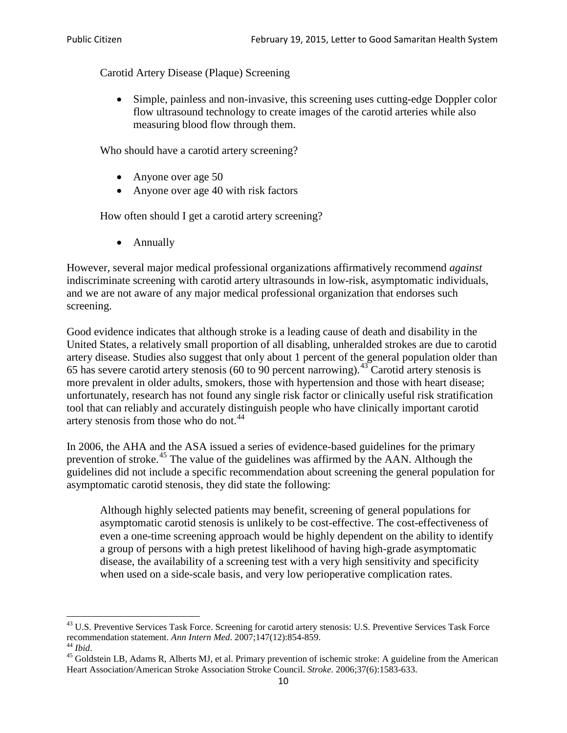Carotid Artery Disease (Plaque) Screening

• Simple, painless and non-invasive, this screening uses cutting-edge Doppler color flow ultrasound technology to create images of the carotid arteries while also measuring blood flow through them.

Who should have a carotid artery screening?

- Anyone over age 50
- Anyone over age 40 with risk factors

How often should I get a carotid artery screening?

• Annually

However, several major medical professional organizations affirmatively recommend *against* indiscriminate screening with carotid artery ultrasounds in low-risk, asymptomatic individuals, and we are not aware of any major medical professional organization that endorses such screening.

Good evidence indicates that although stroke is a leading cause of death and disability in the United States, a relatively small proportion of all disabling, unheralded strokes are due to carotid artery disease. Studies also suggest that only about 1 percent of the general population older than 65 has severe carotid artery stenosis (60 to 90 percent narrowing).<sup>[43](#page-9-0)</sup> Carotid artery stenosis is more prevalent in older adults, smokers, those with hypertension and those with heart disease; unfortunately, research has not found any single risk factor or clinically useful risk stratification tool that can reliably and accurately distinguish people who have clinically important carotid artery stenosis from those who do not.<sup>[44](#page-9-1)</sup>

In 2006, the AHA and the ASA issued a series of evidence-based guidelines for the primary prevention of stroke.<sup>[45](#page-9-2)</sup> The value of the guidelines was affirmed by the AAN. Although the guidelines did not include a specific recommendation about screening the general population for asymptomatic carotid stenosis, they did state the following:

Although highly selected patients may benefit, screening of general populations for asymptomatic carotid stenosis is unlikely to be cost-effective. The cost-effectiveness of even a one-time screening approach would be highly dependent on the ability to identify a group of persons with a high pretest likelihood of having high-grade asymptomatic disease, the availability of a screening test with a very high sensitivity and specificity when used on a side-scale basis, and very low perioperative complication rates.

<span id="page-9-0"></span> $^{43}$  U.S. Preventive Services Task Force. Screening for carotid artery stenosis: U.S. Preventive Services Task Force recommendation statement. Ann Intern Med. 2007;147(12):854-859.

<span id="page-9-2"></span>

<span id="page-9-1"></span><sup>&</sup>lt;sup>44</sup> *Ibid*. <sup>45</sup> Goldstein LB, Adams R, Alberts MJ, et al. Primary prevention of ischemic stroke: A guideline from the American <sup>45</sup> Goldstein LB, Adams R, Alberts MJ, et al. Primary prevention of ischemic stroke: A guide Heart Association/American Stroke Association Stroke Council. *Stroke*. 2006;37(6):1583-633.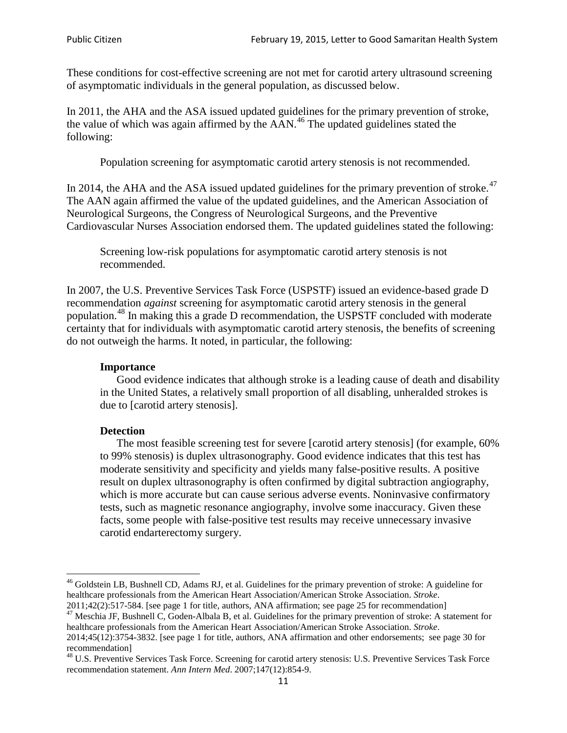These conditions for cost-effective screening are not met for carotid artery ultrasound screening of asymptomatic individuals in the general population, as discussed below.

In 2011, the AHA and the ASA issued updated guidelines for the primary prevention of stroke, the value of which was again affirmed by the  $AAN<sup>46</sup>$  $AAN<sup>46</sup>$  $AAN<sup>46</sup>$ . The updated guidelines stated the following:

Population screening for asymptomatic carotid artery stenosis is not recommended.

In 2014, the AHA and the ASA issued updated guidelines for the primary prevention of stroke.<sup>47</sup> The AAN again affirmed the value of the updated guidelines, and the American Association of Neurological Surgeons, the Congress of Neurological Surgeons, and the Preventive Cardiovascular Nurses Association endorsed them. The updated guidelines stated the following:

Screening low-risk populations for asymptomatic carotid artery stenosis is not recommended.

In 2007, the U.S. Preventive Services Task Force (USPSTF) issued an evidence-based grade D recommendation *against* screening for asymptomatic carotid artery stenosis in the general population.[48](#page-10-2) In making this a grade D recommendation, the USPSTF concluded with moderate certainty that for individuals with asymptomatic carotid artery stenosis, the benefits of screening do not outweigh the harms. It noted, in particular, the following:

#### **Importance**

Good evidence indicates that although stroke is a leading cause of death and disability in the United States, a relatively small proportion of all disabling, unheralded strokes is due to [carotid artery stenosis].

#### **Detection**

The most feasible screening test for severe [carotid artery stenosis] (for example, 60% to 99% stenosis) is duplex ultrasonography. Good evidence indicates that this test has moderate sensitivity and specificity and yields many false-positive results. A positive result on duplex ultrasonography is often confirmed by digital subtraction angiography, which is more accurate but can cause serious adverse events. Noninvasive confirmatory tests, such as magnetic resonance angiography, involve some inaccuracy. Given these facts, some people with false-positive test results may receive unnecessary invasive carotid endarterectomy surgery.

<span id="page-10-0"></span><sup>&</sup>lt;sup>46</sup> Goldstein LB, Bushnell CD, Adams RJ, et al. Guidelines for the primary prevention of stroke: A guideline for healthcare professionals from the American Heart Association/American Stroke Association. *Stroke*.<br>2011;42(2):517-584. [see page 1 for title, authors, ANA affirmation; see page 25 for recommendation]

<span id="page-10-1"></span><sup>&</sup>lt;sup>47</sup> Meschia JF, Bushnell C, Goden-Albala B, et al. Guidelines for the primary prevention of stroke: A statement for healthcare professionals from the American Heart Association/American Stroke Association. *Stroke*. 2014;45(12):3754-3832. [see page 1 for title, authors, ANA affirmation and other endorsements; see page 30 for

recommendation]

<span id="page-10-2"></span><sup>&</sup>lt;sup>48</sup> U.S. Preventive Services Task Force. Screening for carotid artery stenosis: U.S. Preventive Services Task Force recommendation statement. *Ann Intern Med*. 2007;147(12):854-9.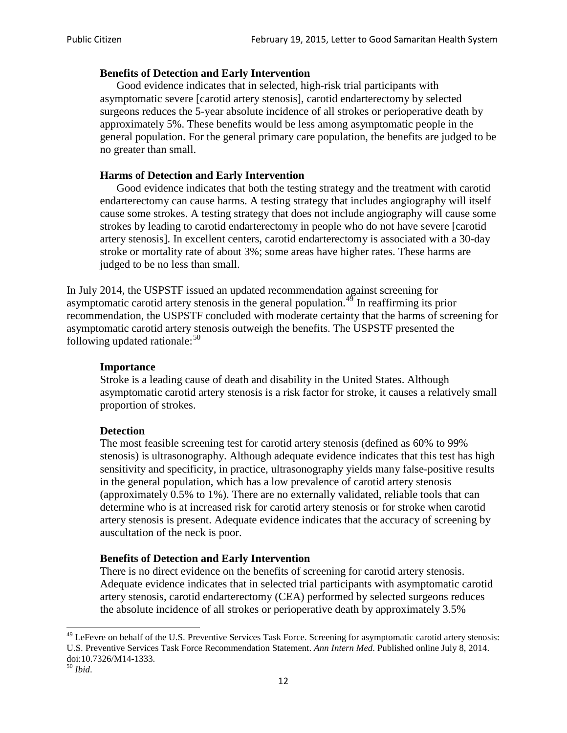### **Benefits of Detection and Early Intervention**

Good evidence indicates that in selected, high-risk trial participants with asymptomatic severe [carotid artery stenosis], carotid endarterectomy by selected surgeons reduces the 5-year absolute incidence of all strokes or perioperative death by approximately 5%. These benefits would be less among asymptomatic people in the general population. For the general primary care population, the benefits are judged to be no greater than small.

## **Harms of Detection and Early Intervention**

Good evidence indicates that both the testing strategy and the treatment with carotid endarterectomy can cause harms. A testing strategy that includes angiography will itself cause some strokes. A testing strategy that does not include angiography will cause some strokes by leading to carotid endarterectomy in people who do not have severe [carotid artery stenosis]. In excellent centers, carotid endarterectomy is associated with a 30-day stroke or mortality rate of about 3%; some areas have higher rates. These harms are judged to be no less than small.

In July 2014, the USPSTF issued an updated recommendation against screening for asymptomatic carotid artery stenosis in the general population.<sup>[49](#page-11-0)</sup> In reaffirming its prior recommendation, the USPSTF concluded with moderate certainty that the harms of screening for asymptomatic carotid artery stenosis outweigh the benefits. The USPSTF presented the following updated rationale: $50$ 

#### **Importance**

Stroke is a leading cause of death and disability in the United States. Although asymptomatic carotid artery stenosis is a risk factor for stroke, it causes a relatively small proportion of strokes.

#### **Detection**

The most feasible screening test for carotid artery stenosis (defined as 60% to 99% stenosis) is ultrasonography. Although adequate evidence indicates that this test has high sensitivity and specificity, in practice, ultrasonography yields many false-positive results in the general population, which has a low prevalence of carotid artery stenosis (approximately 0.5% to 1%). There are no externally validated, reliable tools that can determine who is at increased risk for carotid artery stenosis or for stroke when carotid artery stenosis is present. Adequate evidence indicates that the accuracy of screening by auscultation of the neck is poor.

## **Benefits of Detection and Early Intervention**

There is no direct evidence on the benefits of screening for carotid artery stenosis. Adequate evidence indicates that in selected trial participants with asymptomatic carotid artery stenosis, carotid endarterectomy (CEA) performed by selected surgeons reduces the absolute incidence of all strokes or perioperative death by approximately 3.5%

<span id="page-11-0"></span><sup>&</sup>lt;sup>49</sup> LeFevre on behalf of the U.S. Preventive Services Task Force. Screening for asymptomatic carotid artery stenosis: U.S. Preventive Services Task Force Recommendation Statement. *Ann Intern Med*. Published online July 8, 2014. doi:10.7326/M14-1333. <sup>50</sup> *Ibid*.

<span id="page-11-1"></span>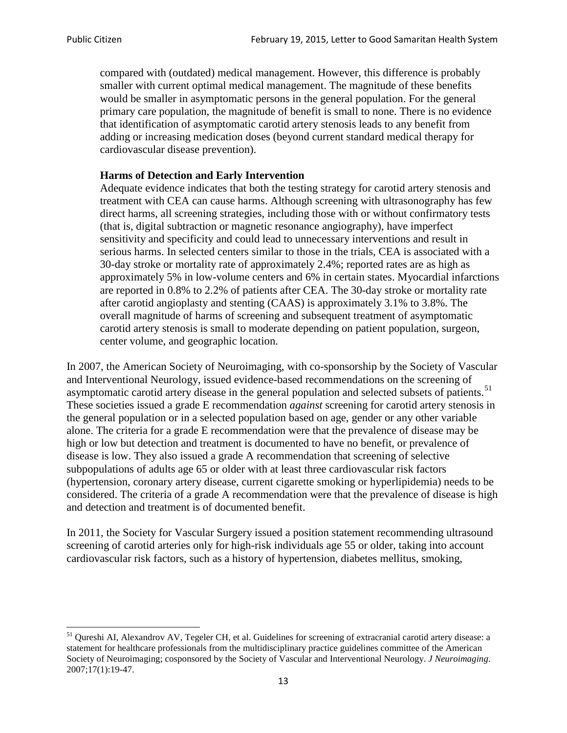compared with (outdated) medical management. However, this difference is probably smaller with current optimal medical management. The magnitude of these benefits would be smaller in asymptomatic persons in the general population. For the general primary care population, the magnitude of benefit is small to none. There is no evidence that identification of asymptomatic carotid artery stenosis leads to any benefit from adding or increasing medication doses (beyond current standard medical therapy for cardiovascular disease prevention).

## **Harms of Detection and Early Intervention**

Adequate evidence indicates that both the testing strategy for carotid artery stenosis and treatment with CEA can cause harms. Although screening with ultrasonography has few direct harms, all screening strategies, including those with or without confirmatory tests (that is, digital subtraction or magnetic resonance angiography), have imperfect sensitivity and specificity and could lead to unnecessary interventions and result in serious harms. In selected centers similar to those in the trials, CEA is associated with a 30-day stroke or mortality rate of approximately 2.4%; reported rates are as high as approximately 5% in low-volume centers and 6% in certain states. Myocardial infarctions are reported in 0.8% to 2.2% of patients after CEA. The 30-day stroke or mortality rate after carotid angioplasty and stenting (CAAS) is approximately 3.1% to 3.8%. The overall magnitude of harms of screening and subsequent treatment of asymptomatic carotid artery stenosis is small to moderate depending on patient population, surgeon, center volume, and geographic location.

In 2007, the American Society of Neuroimaging, with co-sponsorship by the Society of Vascular and Interventional Neurology, issued evidence-based recommendations on the screening of asymptomatic carotid artery disease in the general population and selected subsets of patients.<sup>[51](#page-12-0)</sup> These societies issued a grade E recommendation *against* screening for carotid artery stenosis in the general population or in a selected population based on age, gender or any other variable alone. The criteria for a grade E recommendation were that the prevalence of disease may be high or low but detection and treatment is documented to have no benefit, or prevalence of disease is low. They also issued a grade A recommendation that screening of selective subpopulations of adults age 65 or older with at least three cardiovascular risk factors (hypertension, coronary artery disease, current cigarette smoking or hyperlipidemia) needs to be considered. The criteria of a grade A recommendation were that the prevalence of disease is high and detection and treatment is of documented benefit.

In 2011, the Society for Vascular Surgery issued a position statement recommending ultrasound screening of carotid arteries only for high-risk individuals age 55 or older, taking into account cardiovascular risk factors, such as a history of hypertension, diabetes mellitus, smoking,

<span id="page-12-0"></span><sup>&</sup>lt;sup>51</sup> Qureshi AI, Alexandrov AV, Tegeler CH, et al. Guidelines for screening of extracranial carotid artery disease: a statement for healthcare professionals from the multidisciplinary practice guidelines committee of the American Society of Neuroimaging; cosponsored by the Society of Vascular and Interventional Neurology. *J Neuroimaging*. 2007;17(1):19-47.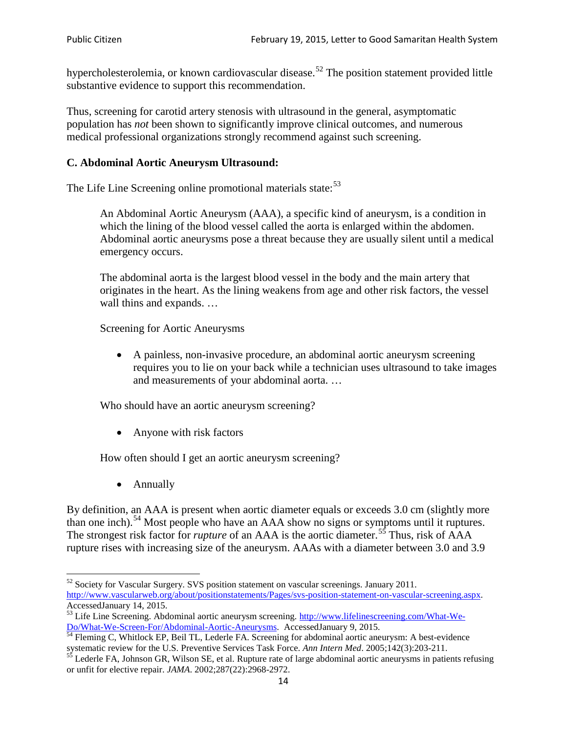hypercholesterolemia, or known cardiovascular disease.<sup>[52](#page-13-0)</sup> The position statement provided little substantive evidence to support this recommendation.

Thus, screening for carotid artery stenosis with ultrasound in the general, asymptomatic population has *not* been shown to significantly improve clinical outcomes, and numerous medical professional organizations strongly recommend against such screening.

#### **C. Abdominal Aortic Aneurysm Ultrasound:**

The Life Line Screening online promotional materials state:<sup>[53](#page-13-1)</sup>

An Abdominal Aortic Aneurysm (AAA), a specific kind of aneurysm, is a condition in which the lining of the blood vessel called the aorta is enlarged within the abdomen. Abdominal aortic aneurysms pose a threat because they are usually silent until a medical emergency occurs.

The abdominal aorta is the largest blood vessel in the body and the main artery that originates in the heart. As the lining weakens from age and other risk factors, the vessel wall thins and expands. …

Screening for Aortic Aneurysms

• A painless, non-invasive procedure, an abdominal aortic aneurysm screening requires you to lie on your back while a technician uses ultrasound to take images and measurements of your abdominal aorta. …

Who should have an aortic aneurysm screening?

• Anyone with risk factors

How often should I get an aortic aneurysm screening?

• Annually

By definition, an AAA is present when aortic diameter equals or exceeds 3.0 cm (slightly more than one inch).<sup>[54](#page-13-2)</sup> Most people who have an AAA show no signs or symptoms until it ruptures. The strongest risk factor for *rupture* of an AAA is the aortic diameter.<sup>[55](#page-13-3)</sup> Thus, risk of AAA rupture rises with increasing size of the aneurysm. AAAs with a diameter between 3.0 and 3.9

<span id="page-13-0"></span> $52$  Society for Vascular Surgery. SVS position statement on vascular screenings. January 2011. http://www.vascularweb.org/about/positionstatements/Pages/svs-position-statement-on-vascular-screening.aspx.<br>Accessed January 14, 2015.

<span id="page-13-1"></span>Accessed January 14, 2015.<br>
Sa Life Line Screening. Abdominal aortic aneurysm screening. http://www.lifelinescreening.com/What-We-<br>
Do/What-We-Screen-For/Abdominal-Aortic-Aneurysms. Accessed January 9, 2015.

<span id="page-13-2"></span> $\frac{1}{54}$  Fleming C, Whitlock EP, Beil TL, Lederle FA. Screening for abdominal aortic aneurysm: A best-evidence systematic review for the U.S. Preventive Services Task Force. *Ann Intern Med.* 2005;142(3):203-211.<br><sup>55</sup> Lederle FA, Johnson GR, Wilson SE, et al. Rupture rate of large abdominal aortic aneurysms in patients refusing

<span id="page-13-3"></span>or unfit for elective repair. *JAMA*. 2002;287(22):2968-2972.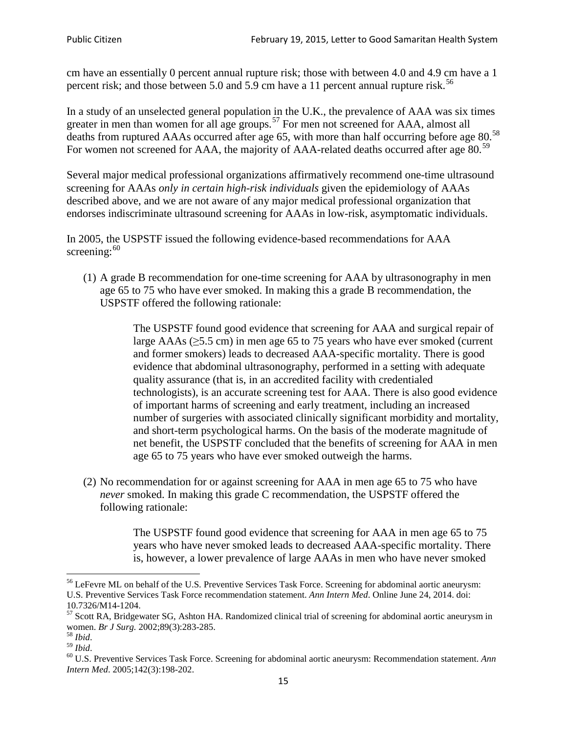cm have an essentially 0 percent annual rupture risk; those with between 4.0 and 4.9 cm have a 1 percent risk; and those between 5.0 and 5.9 cm have a 11 percent annual rupture risk.<sup>[56](#page-14-0)</sup>

In a study of an unselected general population in the U.K., the prevalence of AAA was six times greater in men than women for all age groups.<sup>[57](#page-14-1)</sup> For men not screened for  $AAA$ , almost all deaths from ruptured AAAs occurred after age 65, with more than half occurring before age 80.<sup>[58](#page-14-2)</sup> For women not screened for AAA, the majority of AAA-related deaths occurred after age 80.<sup>[59](#page-14-3)</sup>

Several major medical professional organizations affirmatively recommend one-time ultrasound screening for AAAs *only in certain high-risk individuals* given the epidemiology of AAAs described above, and we are not aware of any major medical professional organization that endorses indiscriminate ultrasound screening for AAAs in low-risk, asymptomatic individuals.

In 2005, the USPSTF issued the following evidence-based recommendations for AAA screening:  $60$ 

(1) A grade B recommendation for one-time screening for AAA by ultrasonography in men age 65 to 75 who have ever smoked. In making this a grade [B recommendation,](http://www.uspreventiveservicestaskforce.org/uspstf/gradespre.htm#brec) the USPSTF offered the following rationale:

> The USPSTF found good evidence that screening for AAA and surgical repair of large AAAs ( $\geq$ 5.5 cm) in men age 65 to 75 years who have ever smoked (current and former smokers) leads to decreased AAA-specific mortality. There is good evidence that abdominal ultrasonography, performed in a setting with adequate quality assurance (that is, in an accredited facility with credentialed technologists), is an accurate screening test for AAA. There is also good evidence of important harms of screening and early treatment, including an increased number of surgeries with associated clinically significant morbidity and mortality, and short-term psychological harms. On the basis of the moderate magnitude of net benefit, the USPSTF concluded that the benefits of screening for AAA in men age 65 to 75 years who have ever smoked outweigh the harms.

(2) No recommendation for or against screening for AAA in men age 65 to 75 who have *never* smoked. In making this grade C recommendation, the USPSTF offered the following rationale:

> The USPSTF found good evidence that screening for AAA in men age 65 to 75 years who have never smoked leads to decreased AAA-specific mortality. There is, however, a lower prevalence of large AAAs in men who have never smoked

<span id="page-14-0"></span><sup>&</sup>lt;sup>56</sup> LeFevre ML on behalf of the U.S. Preventive Services Task Force. Screening for abdominal aortic aneurysm: U.S. Preventive Services Task Force recommendation statement. *Ann Intern Med*. Online June 24, 2014. doi:

<span id="page-14-1"></span><sup>10.7326/</sup>M14-1204.<br> $57$  Scott RA, Bridgewater SG, Ashton HA. Randomized clinical trial of screening for abdominal aortic aneurysm in women. *Br J Surg.* 2002;89(3):283-285.

<span id="page-14-4"></span><span id="page-14-3"></span>

<span id="page-14-2"></span><sup>&</sup>lt;sup>58</sup> *Ibid.*<br><sup>59</sup> *Ibid.* 2002;<br><sup>60</sup> U.S. Preventive Services Task Force. Screening for abdominal aortic aneurysm: Recommendation statement. *Ann Intern Med*. 2005;142(3):198-202.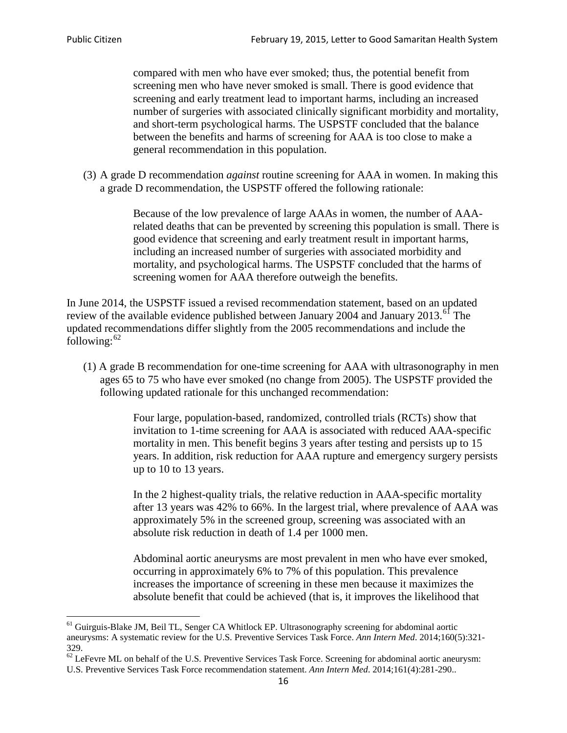compared with men who have ever smoked; thus, the potential benefit from screening men who have never smoked is small. There is good evidence that screening and early treatment lead to important harms, including an increased number of surgeries with associated clinically significant morbidity and mortality, and short-term psychological harms. The USPSTF concluded that the balance between the benefits and harms of screening for AAA is too close to make a general recommendation in this population.

(3) A grade D recommendation *against* routine screening for AAA in women. In making this a grade D recommendation, the USPSTF offered the following rationale:

> Because of the low prevalence of large AAAs in women, the number of AAArelated deaths that can be prevented by screening this population is small. There is good evidence that screening and early treatment result in important harms, including an increased number of surgeries with associated morbidity and mortality, and psychological harms. The USPSTF concluded that the harms of screening women for AAA therefore outweigh the benefits.

In June 2014, the USPSTF issued a revised recommendation statement, based on an updated review of the available evidence published between January 2004 and January 2013.<sup>[61](#page-15-0)</sup> The updated recommendations differ slightly from the 2005 recommendations and include the following: $62$ 

(1) A grade B recommendation for one-time screening for AAA with ultrasonography in men ages 65 to 75 who have ever smoked (no change from 2005). The USPSTF provided the following updated rationale for this unchanged recommendation:

> Four large, population-based, randomized, controlled trials (RCTs) show that invitation to 1-time screening for AAA is associated with reduced AAA-specific mortality in men. This benefit begins 3 years after testing and persists up to 15 years. In addition, risk reduction for AAA rupture and emergency surgery persists up to 10 to 13 years.

> In the 2 highest-quality trials, the relative reduction in AAA-specific mortality after 13 years was 42% to 66%. In the largest trial, where prevalence of AAA was approximately 5% in the screened group, screening was associated with an absolute risk reduction in death of 1.4 per 1000 men.

Abdominal aortic aneurysms are most prevalent in men who have ever smoked, occurring in approximately 6% to 7% of this population. This prevalence increases the importance of screening in these men because it maximizes the absolute benefit that could be achieved (that is, it improves the likelihood that

<span id="page-15-0"></span><sup>61</sup> Guirguis-Blake JM, Beil TL, Senger CA Whitlock EP. Ultrasonography screening for abdominal aortic aneurysms: A systematic review for the U.S. Preventive Services Task Force. *Ann Intern Med*. 2014;160(5):321- 329.

<span id="page-15-1"></span> $62$  LeFevre ML on behalf of the U.S. Preventive Services Task Force. Screening for abdominal aortic aneurysm: U.S. Preventive Services Task Force recommendation statement. *Ann Intern Med*. 2014;161(4):281-290..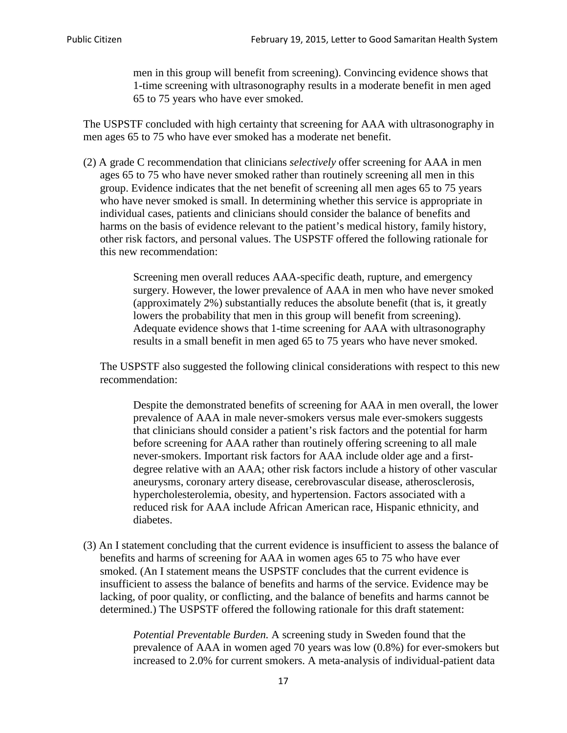men in this group will benefit from screening). Convincing evidence shows that 1-time screening with ultrasonography results in a moderate benefit in men aged 65 to 75 years who have ever smoked.

The USPSTF concluded with high certainty that screening for AAA with ultrasonography in men ages 65 to 75 who have ever smoked has a moderate net benefit.

(2) A grade C recommendation that clinicians *selectively* offer screening for AAA in men ages 65 to 75 who have never smoked rather than routinely screening all men in this group. Evidence indicates that the net benefit of screening all men ages 65 to 75 years who have never smoked is small. In determining whether this service is appropriate in individual cases, patients and clinicians should consider the balance of benefits and harms on the basis of evidence relevant to the patient's medical history, family history, other risk factors, and personal values. The USPSTF offered the following rationale for this new recommendation:

> Screening men overall reduces AAA-specific death, rupture, and emergency surgery. However, the lower prevalence of AAA in men who have never smoked (approximately 2%) substantially reduces the absolute benefit (that is, it greatly lowers the probability that men in this group will benefit from screening). Adequate evidence shows that 1-time screening for AAA with ultrasonography results in a small benefit in men aged 65 to 75 years who have never smoked.

The USPSTF also suggested the following clinical considerations with respect to this new recommendation:

Despite the demonstrated benefits of screening for AAA in men overall, the lower prevalence of AAA in male never-smokers versus male ever-smokers suggests that clinicians should consider a patient's risk factors and the potential for harm before screening for AAA rather than routinely offering screening to all male never-smokers. Important risk factors for AAA include older age and a firstdegree relative with an AAA; other risk factors include a history of other vascular aneurysms, coronary artery disease, cerebrovascular disease, atherosclerosis, hypercholesterolemia, obesity, and hypertension. Factors associated with a reduced risk for AAA include African American race, Hispanic ethnicity, and diabetes.

(3) An I statement concluding that the current evidence is insufficient to assess the balance of benefits and harms of screening for AAA in women ages 65 to 75 who have ever smoked. (An I statement means the USPSTF concludes that the current evidence is insufficient to assess the balance of benefits and harms of the service. Evidence may be lacking, of poor quality, or conflicting, and the balance of benefits and harms cannot be determined.) The USPSTF offered the following rationale for this draft statement:

> *Potential Preventable Burden.* A screening study in Sweden found that the prevalence of AAA in women aged 70 years was low (0.8%) for ever-smokers but increased to 2.0% for current smokers. A meta-analysis of individual-patient data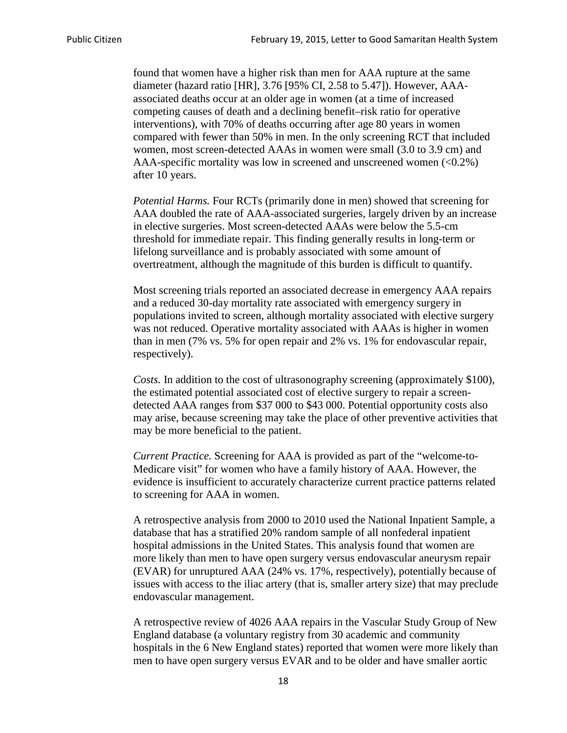found that women have a higher risk than men for AAA rupture at the same diameter (hazard ratio [HR], 3.76 [95% CI, 2.58 to 5.47]). However, AAAassociated deaths occur at an older age in women (at a time of increased competing causes of death and a declining benefit–risk ratio for operative interventions), with 70% of deaths occurring after age 80 years in women compared with fewer than 50% in men. In the only screening RCT that included women, most screen-detected AAAs in women were small (3.0 to 3.9 cm) and AAA-specific mortality was low in screened and unscreened women  $(<0.2\%)$ after 10 years.

*Potential Harms.* Four RCTs (primarily done in men) showed that screening for AAA doubled the rate of AAA-associated surgeries, largely driven by an increase in elective surgeries. Most screen-detected AAAs were below the 5.5-cm threshold for immediate repair. This finding generally results in long-term or lifelong surveillance and is probably associated with some amount of overtreatment, although the magnitude of this burden is difficult to quantify.

Most screening trials reported an associated decrease in emergency AAA repairs and a reduced 30-day mortality rate associated with emergency surgery in populations invited to screen, although mortality associated with elective surgery was not reduced. Operative mortality associated with AAAs is higher in women than in men (7% vs. 5% for open repair and 2% vs. 1% for endovascular repair, respectively).

*Costs.* In addition to the cost of ultrasonography screening (approximately \$100), the estimated potential associated cost of elective surgery to repair a screendetected AAA ranges from \$37 000 to \$43 000. Potential opportunity costs also may arise, because screening may take the place of other preventive activities that may be more beneficial to the patient.

*Current Practice.* Screening for AAA is provided as part of the "welcome-to-Medicare visit" for women who have a family history of AAA. However, the evidence is insufficient to accurately characterize current practice patterns related to screening for AAA in women.

A retrospective analysis from 2000 to 2010 used the National Inpatient Sample, a database that has a stratified 20% random sample of all nonfederal inpatient hospital admissions in the United States. This analysis found that women are more likely than men to have open surgery versus endovascular aneurysm repair (EVAR) for unruptured AAA (24% vs. 17%, respectively), potentially because of issues with access to the iliac artery (that is, smaller artery size) that may preclude endovascular management.

A retrospective review of 4026 AAA repairs in the Vascular Study Group of New England database (a voluntary registry from 30 academic and community hospitals in the 6 New England states) reported that women were more likely than men to have open surgery versus EVAR and to be older and have smaller aortic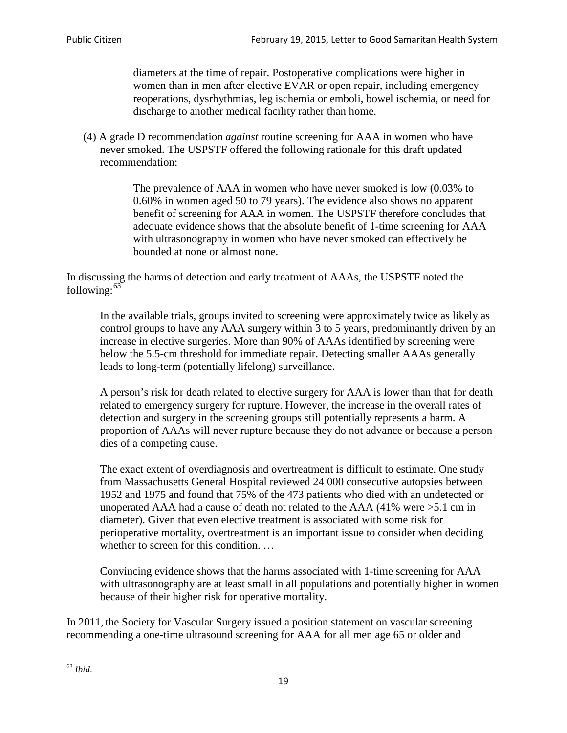diameters at the time of repair. Postoperative complications were higher in women than in men after elective EVAR or open repair, including emergency reoperations, dysrhythmias, leg ischemia or emboli, bowel ischemia, or need for discharge to another medical facility rather than home.

(4) A grade D recommendation *against* routine screening for AAA in women who have never smoked. The USPSTF offered the following rationale for this draft updated recommendation:

> The prevalence of AAA in women who have never smoked is low (0.03% to 0.60% in women aged 50 to 79 years). The evidence also shows no apparent benefit of screening for AAA in women. The USPSTF therefore concludes that adequate evidence shows that the absolute benefit of 1-time screening for AAA with ultrasonography in women who have never smoked can effectively be bounded at none or almost none.

In discussing the harms of detection and early treatment of AAAs, the USPSTF noted the following: $63$ 

In the available trials, groups invited to screening were approximately twice as likely as control groups to have any AAA surgery within 3 to 5 years, predominantly driven by an increase in elective surgeries. More than 90% of AAAs identified by screening were below the 5.5-cm threshold for immediate repair. Detecting smaller AAAs generally leads to long-term (potentially lifelong) surveillance.

A person's risk for death related to elective surgery for AAA is lower than that for death related to emergency surgery for rupture. However, the increase in the overall rates of detection and surgery in the screening groups still potentially represents a harm. A proportion of AAAs will never rupture because they do not advance or because a person dies of a competing cause.

The exact extent of overdiagnosis and overtreatment is difficult to estimate. One study from Massachusetts General Hospital reviewed 24 000 consecutive autopsies between 1952 and 1975 and found that 75% of the 473 patients who died with an undetected or unoperated AAA had a cause of death not related to the AAA (41% were >5.1 cm in diameter). Given that even elective treatment is associated with some risk for perioperative mortality, overtreatment is an important issue to consider when deciding whether to screen for this condition....

Convincing evidence shows that the harms associated with 1-time screening for AAA with ultrasonography are at least small in all populations and potentially higher in women because of their higher risk for operative mortality.

In 2011, the Society for Vascular Surgery issued a position statement on vascular screening recommending a one-time ultrasound screening for AAA for all men age 65 or older and

<span id="page-18-0"></span><sup>63</sup> *Ibid*.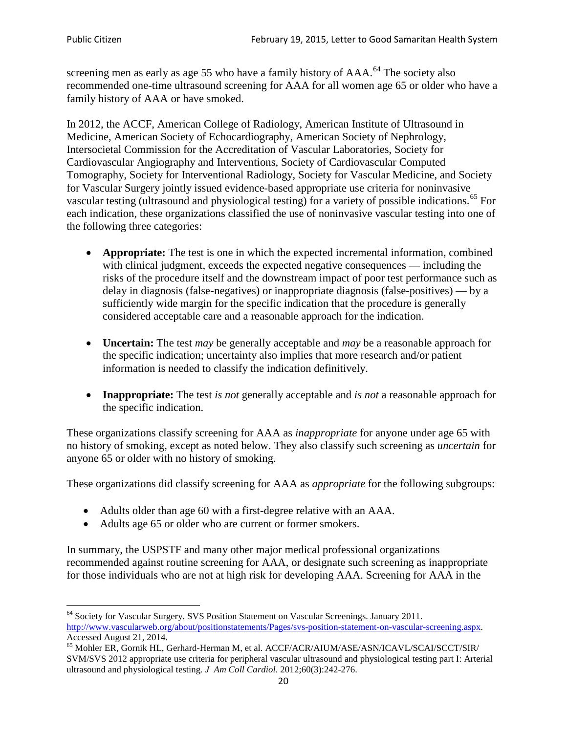screening men as early as age 55 who have a family history of AAA.<sup>[64](#page-19-0)</sup> The society also recommended one-time ultrasound screening for AAA for all women age 65 or older who have a family history of AAA or have smoked.

In 2012, the ACCF, American College of Radiology, American Institute of Ultrasound in Medicine, American Society of Echocardiography, American Society of Nephrology, Intersocietal Commission for the Accreditation of Vascular Laboratories, Society for Cardiovascular Angiography and Interventions, Society of Cardiovascular Computed Tomography, Society for Interventional Radiology, Society for Vascular Medicine, and Society for Vascular Surgery jointly issued evidence-based appropriate use criteria for noninvasive vascular testing (ultrasound and physiological testing) for a variety of possible indications.<sup>[65](#page-19-1)</sup> For each indication, these organizations classified the use of noninvasive vascular testing into one of the following three categories:

- **Appropriate:** The test is one in which the expected incremental information, combined with clinical judgment, exceeds the expected negative consequences — including the risks of the procedure itself and the downstream impact of poor test performance such as delay in diagnosis (false-negatives) or inappropriate diagnosis (false-positives) — by a sufficiently wide margin for the specific indication that the procedure is generally considered acceptable care and a reasonable approach for the indication.
- **Uncertain:** The test *may* be generally acceptable and *may* be a reasonable approach for the specific indication; uncertainty also implies that more research and/or patient information is needed to classify the indication definitively.
- **Inappropriate:** The test *is not* generally acceptable and *is not* a reasonable approach for the specific indication.

These organizations classify screening for AAA as *inappropriate* for anyone under age 65 with no history of smoking, except as noted below. They also classify such screening as *uncertain* for anyone 65 or older with no history of smoking.

These organizations did classify screening for AAA as *appropriate* for the following subgroups:

- Adults older than age 60 with a first-degree relative with an AAA.
- Adults age 65 or older who are current or former smokers.

In summary, the USPSTF and many other major medical professional organizations recommended against routine screening for AAA, or designate such screening as inappropriate for those individuals who are not at high risk for developing AAA. Screening for AAA in the

<span id="page-19-0"></span><sup>64</sup> Society for Vascular Surgery. SVS Position Statement on Vascular Screenings. January 2011. [http://www.vascularweb.org/about/positionstatements/Pages/svs-position-statement-on-vascular-screening.aspx.](http://www.vascularweb.org/about/positionstatements/Pages/svs-position-statement-on-vascular-screening.aspx) 

<span id="page-19-1"></span>Accessed August 21, 2014.<br><sup>65</sup> Mohler ER, Gornik HL, Gerhard-Herman M, et al. ACCF/ACR/AIUM/ASE/ASN/ICAVL/SCAI/SCCT/SIR/ SVM/SVS 2012 appropriate use criteria for peripheral vascular ultrasound and physiological testing part I: Arterial ultrasound and physiological testing*. J Am Coll Cardiol*. 2012;60(3):242-276.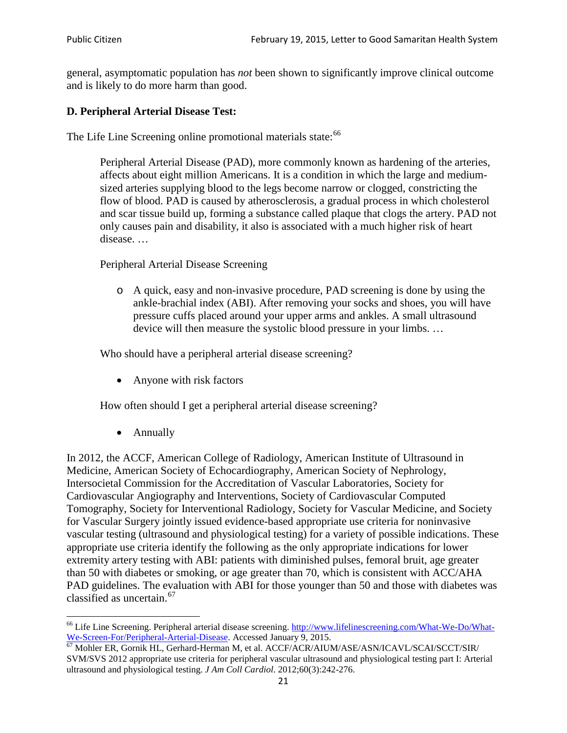general, asymptomatic population has *not* been shown to significantly improve clinical outcome and is likely to do more harm than good.

### **D. Peripheral Arterial Disease Test:**

The Life Line Screening online promotional materials state:<sup>[66](#page-20-0)</sup>

Peripheral Arterial Disease (PAD), more commonly known as hardening of the arteries, affects about eight million Americans. It is a condition in which the large and mediumsized arteries supplying blood to the legs become narrow or clogged, constricting the flow of blood. PAD is caused by atherosclerosis, a gradual process in which cholesterol and scar tissue build up, forming a substance called plaque that clogs the artery. PAD not only causes pain and disability, it also is associated with a much higher risk of heart disease. …

Peripheral Arterial Disease Screening

o A quick, easy and non-invasive procedure, PAD screening is done by using the ankle-brachial index (ABI). After removing your socks and shoes, you will have pressure cuffs placed around your upper arms and ankles. A small ultrasound device will then measure the systolic blood pressure in your limbs. …

Who should have a peripheral arterial disease screening?

• Anyone with risk factors

How often should I get a peripheral arterial disease screening?

• Annually

In 2012, the ACCF, American College of Radiology, American Institute of Ultrasound in Medicine, American Society of Echocardiography, American Society of Nephrology, Intersocietal Commission for the Accreditation of Vascular Laboratories, Society for Cardiovascular Angiography and Interventions, Society of Cardiovascular Computed Tomography, Society for Interventional Radiology, Society for Vascular Medicine, and Society for Vascular Surgery jointly issued evidence-based appropriate use criteria for noninvasive vascular testing (ultrasound and physiological testing) for a variety of possible indications. These appropriate use criteria identify the following as the only appropriate indications for lower extremity artery testing with ABI: patients with diminished pulses, femoral bruit, age greater than 50 with diabetes or smoking, or age greater than 70, which is consistent with ACC/AHA PAD guidelines. The evaluation with ABI for those younger than 50 and those with diabetes was classified as uncertain.<sup>[67](#page-20-1)</sup>

<span id="page-20-0"></span><sup>&</sup>lt;sup>66</sup> Life Line Screening. Peripheral arterial disease screening. [http://www.lifelinescreening.com/What-We-Do/What-](http://www.lifelinescreening.com/What-We-Do/What-We-Screen-For/Peripheral-Arterial-Disease)[We-Screen-For/Peripheral-Arterial-Disease.](http://www.lifelinescreening.com/What-We-Do/What-We-Screen-For/Peripheral-Arterial-Disease) Accessed January 9, 2015.<br><sup>67</sup> Mohler ER, Gornik HL, Gerhard-Herman M, et al. ACCF/ACR/AIUM/ASE/ASN/ICAVL/SCAI/SCCT/SIR/

<span id="page-20-1"></span>SVM/SVS 2012 appropriate use criteria for peripheral vascular ultrasound and physiological testing part I: Arterial ultrasound and physiological testing. *J Am Coll Cardiol*. 2012;60(3):242-276.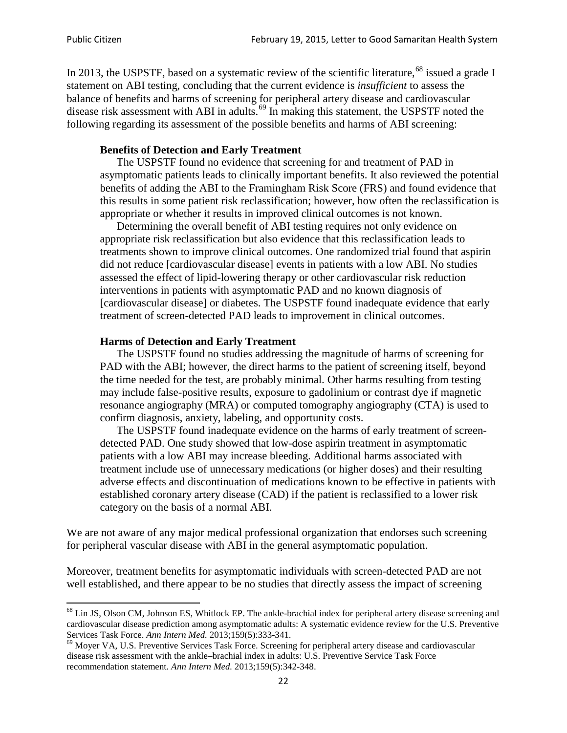In 2013, the USPSTF, based on a systematic review of the scientific literature,<sup>[68](#page-21-0)</sup> issued a grade I statement on ABI testing, concluding that the current evidence is *insufficient* to assess the balance of benefits and harms of screening for peripheral artery disease and cardiovascular disease risk assessment with ABI in adults.<sup>[69](#page-21-1)</sup> In making this statement, the USPSTF noted the following regarding its assessment of the possible benefits and harms of ABI screening:

#### **Benefits of Detection and Early Treatment**

The USPSTF found no evidence that screening for and treatment of PAD in asymptomatic patients leads to clinically important benefits. It also reviewed the potential benefits of adding the ABI to the Framingham Risk Score (FRS) and found evidence that this results in some patient risk reclassification; however, how often the reclassification is appropriate or whether it results in improved clinical outcomes is not known.

Determining the overall benefit of ABI testing requires not only evidence on appropriate risk reclassification but also evidence that this reclassification leads to treatments shown to improve clinical outcomes. One randomized trial found that aspirin did not reduce [cardiovascular disease] events in patients with a low ABI. No studies assessed the effect of lipid-lowering therapy or other cardiovascular risk reduction interventions in patients with asymptomatic PAD and no known diagnosis of [cardiovascular disease] or diabetes. The USPSTF found inadequate evidence that early treatment of screen-detected PAD leads to improvement in clinical outcomes.

#### **Harms of Detection and Early Treatment**

The USPSTF found no studies addressing the magnitude of harms of screening for PAD with the ABI; however, the direct harms to the patient of screening itself, beyond the time needed for the test, are probably minimal. Other harms resulting from testing may include false-positive results, exposure to gadolinium or contrast dye if magnetic resonance angiography (MRA) or computed tomography angiography (CTA) is used to confirm diagnosis, anxiety, labeling, and opportunity costs.

The USPSTF found inadequate evidence on the harms of early treatment of screendetected PAD. One study showed that low-dose aspirin treatment in asymptomatic patients with a low ABI may increase bleeding. Additional harms associated with treatment include use of unnecessary medications (or higher doses) and their resulting adverse effects and discontinuation of medications known to be effective in patients with established coronary artery disease (CAD) if the patient is reclassified to a lower risk category on the basis of a normal ABI.

We are not aware of any major medical professional organization that endorses such screening for peripheral vascular disease with ABI in the general asymptomatic population.

Moreover, treatment benefits for asymptomatic individuals with screen-detected PAD are not well established, and there appear to be no studies that directly assess the impact of screening

<span id="page-21-0"></span><sup>&</sup>lt;sup>68</sup> Lin JS, Olson CM, Johnson ES, Whitlock EP. The ankle-brachial index for peripheral artery disease screening and cardiovascular disease prediction among asymptomatic adults: A systematic evidence review for the U.S. Preventive Services Task Force. *Ann Intern Med.* 2013;159(5):333-341.<br><sup>69</sup> Moyer VA, U.S. Preventive Services Task Force. Screening for peripheral artery disease and cardiovascular

<span id="page-21-1"></span>disease risk assessment with the ankle–brachial index in adults: U.S. Preventive Service Task Force recommendation statement. *Ann Intern Med.* 2013;159(5):342-348.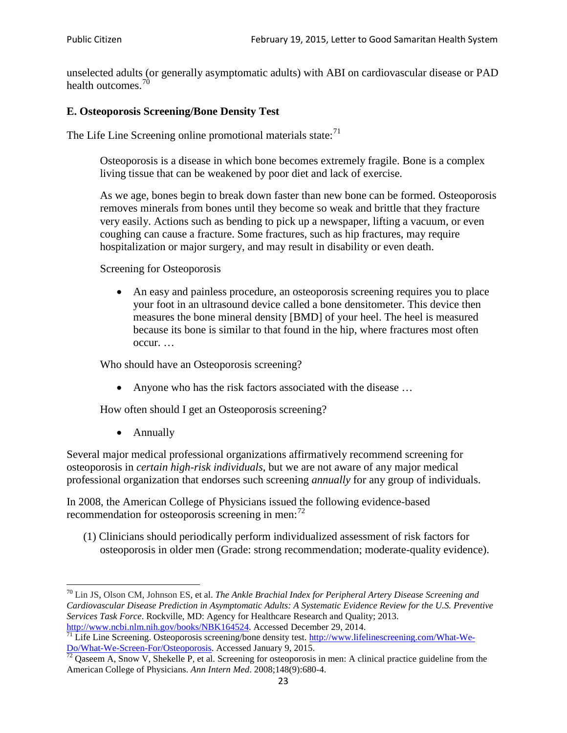unselected adults (or generally asymptomatic adults) with ABI on cardiovascular disease or PAD health outcomes.<sup>[70](#page-22-0)</sup>

#### **E. Osteoporosis Screening/Bone Density Test**

The Life Line Screening online promotional materials state: $71$ 

Osteoporosis is a disease in which bone becomes extremely fragile. Bone is a complex living tissue that can be weakened by poor diet and lack of exercise.

As we age, bones begin to break down faster than new bone can be formed. Osteoporosis removes minerals from bones until they become so weak and brittle that they fracture very easily. Actions such as bending to pick up a newspaper, lifting a vacuum, or even coughing can cause a fracture. Some fractures, such as hip fractures, may require hospitalization or major surgery, and may result in disability or even death.

Screening for Osteoporosis

• An easy and painless procedure, an osteoporosis screening requires you to place your foot in an ultrasound device called a bone densitometer. This device then measures the bone mineral density [BMD] of your heel. The heel is measured because its bone is similar to that found in the hip, where fractures most often occur. …

Who should have an Osteoporosis screening?

• Anyone who has the risk factors associated with the disease ...

How often should I get an Osteoporosis screening?

• Annually

Several major medical professional organizations affirmatively recommend screening for osteoporosis in *certain high-risk individuals*, but we are not aware of any major medical professional organization that endorses such screening *annually* for any group of individuals.

In 2008, the American College of Physicians issued the following evidence-based recommendation for osteoporosis screening in men: $^{72}$  $^{72}$  $^{72}$ 

(1) Clinicians should periodically perform individualized assessment of risk factors for osteoporosis in older men (Grade: strong recommendation; moderate-quality evidence).

<span id="page-22-0"></span><sup>70</sup> [Lin JS,](http://www.ncbi.nlm.nih.gov/pubmed?term=Lin%20JS%5BAuthor%5D&cauthor=true&cauthor_uid=24156115) [Olson CM,](http://www.ncbi.nlm.nih.gov/pubmed?term=Olson%20CM%5BAuthor%5D&cauthor=true&cauthor_uid=24156115) [Johnson ES,](http://www.ncbi.nlm.nih.gov/pubmed?term=Johnson%20ES%5BAuthor%5D&cauthor=true&cauthor_uid=24156115) et al. *The Ankle Brachial Index for Peripheral Artery Disease Screening and Cardiovascular Disease Prediction in Asymptomatic Adults: A Systematic Evidence Review for the U.S. Preventive Services Task Force*. Rockville, MD: Agency for Healthcare Research and Quality; 2013.<br>http://www.ncbi.nlm.nih.gov/books/NBK164524. Accessed December 29, 2014.

<span id="page-22-1"></span> $\frac{1}{71}$  Life Line Screening. Osteoporosis screening/bone density test. [http://www.lifelinescreening.com/What-We-](http://www.lifelinescreening.com/What-We-Do/What-We-Screen-For/Osteoporosis) $\frac{Do/What-We-Screen-For/Osteoporosis}{72}$  Qaseem A, Snow V, Shekelle P, et al. Screening for osteoporosis in men: A clinical practice guideline from the

<span id="page-22-2"></span>American College of Physicians. *Ann Intern Med*. 2008;148(9):680-4.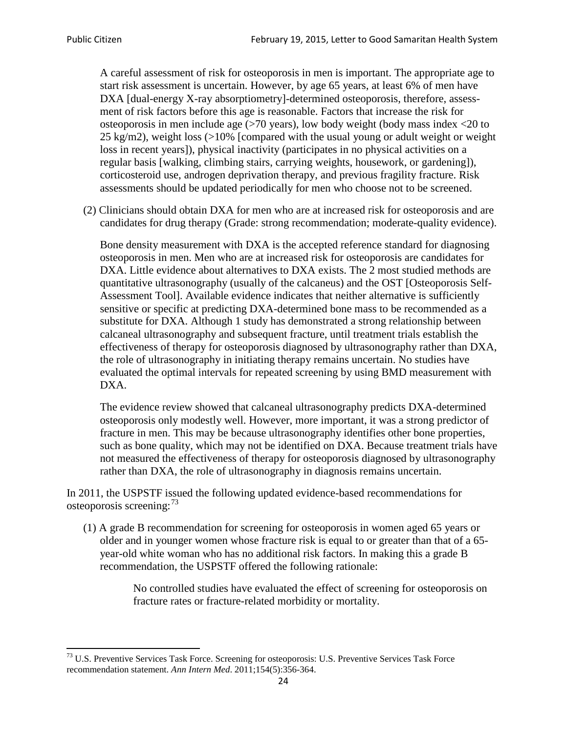A careful assessment of risk for osteoporosis in men is important. The appropriate age to start risk assessment is uncertain. However, by age 65 years, at least 6% of men have DXA [dual-energy X-ray absorptiometry]-determined osteoporosis, therefore, assessment of risk factors before this age is reasonable. Factors that increase the risk for osteoporosis in men include age (>70 years), low body weight (body mass index <20 to 25 kg/m2), weight loss (>10% [compared with the usual young or adult weight or weight loss in recent years]), physical inactivity (participates in no physical activities on a regular basis [walking, climbing stairs, carrying weights, housework, or gardening]), corticosteroid use, androgen deprivation therapy, and previous fragility fracture. Risk assessments should be updated periodically for men who choose not to be screened.

(2) Clinicians should obtain DXA for men who are at increased risk for osteoporosis and are candidates for drug therapy (Grade: strong recommendation; moderate-quality evidence).

Bone density measurement with DXA is the accepted reference standard for diagnosing osteoporosis in men. Men who are at increased risk for osteoporosis are candidates for DXA. Little evidence about alternatives to DXA exists. The 2 most studied methods are quantitative ultrasonography (usually of the calcaneus) and the OST [Osteoporosis Self-Assessment Tool]. Available evidence indicates that neither alternative is sufficiently sensitive or specific at predicting DXA-determined bone mass to be recommended as a substitute for DXA. Although 1 study has demonstrated a strong relationship between calcaneal ultrasonography and subsequent fracture, until treatment trials establish the effectiveness of therapy for osteoporosis diagnosed by ultrasonography rather than DXA, the role of ultrasonography in initiating therapy remains uncertain. No studies have evaluated the optimal intervals for repeated screening by using BMD measurement with DXA.

The evidence review showed that calcaneal ultrasonography predicts DXA-determined osteoporosis only modestly well. However, more important, it was a strong predictor of fracture in men. This may be because ultrasonography identifies other bone properties, such as bone quality, which may not be identified on DXA. Because treatment trials have not measured the effectiveness of therapy for osteoporosis diagnosed by ultrasonography rather than DXA, the role of ultrasonography in diagnosis remains uncertain.

In 2011, the USPSTF issued the following updated evidence-based recommendations for osteoporosis screening:<sup>[73](#page-23-0)</sup>

(1) A grade B recommendation for screening for osteoporosis in women aged 65 years or older and in younger women whose fracture risk is equal to or greater than that of a 65 year-old white woman who has no additional risk factors. In making this a grade B recommendation, the USPSTF offered the following rationale:

> No controlled studies have evaluated the effect of screening for osteoporosis on fracture rates or fracture-related morbidity or mortality.

<span id="page-23-0"></span><sup>&</sup>lt;sup>73</sup> U.S. Preventive Services Task Force. Screening for osteoporosis: U.S. Preventive Services Task Force recommendation statement. *Ann Intern Med*. 2011;154(5):356-364.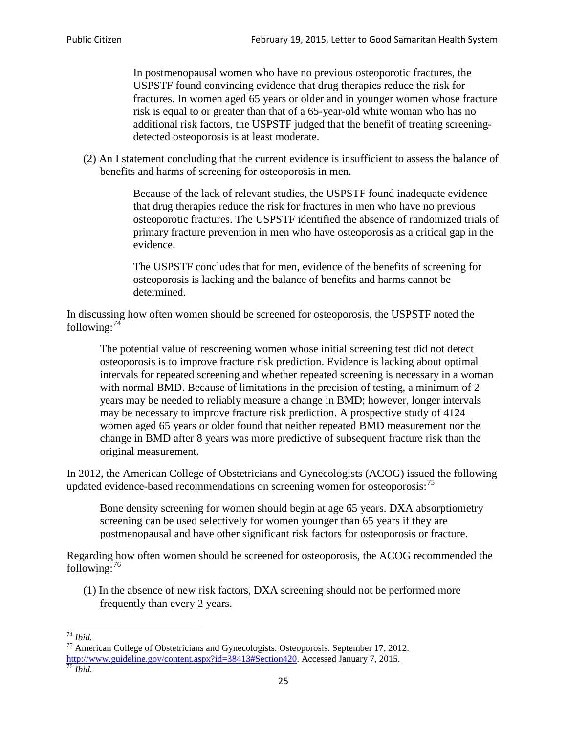In postmenopausal women who have no previous osteoporotic fractures, the USPSTF found convincing evidence that drug therapies reduce the risk for fractures. In women aged 65 years or older and in younger women whose fracture risk is equal to or greater than that of a 65-year-old white woman who has no additional risk factors, the USPSTF judged that the benefit of treating screeningdetected osteoporosis is at least moderate.

(2) An I statement concluding that the current evidence is insufficient to assess the balance of benefits and harms of screening for osteoporosis in men.

> Because of the lack of relevant studies, the USPSTF found inadequate evidence that drug therapies reduce the risk for fractures in men who have no previous osteoporotic fractures. The USPSTF identified the absence of randomized trials of primary fracture prevention in men who have osteoporosis as a critical gap in the evidence.

The USPSTF concludes that for men, evidence of the benefits of screening for osteoporosis is lacking and the balance of benefits and harms cannot be determined.

In discussing how often women should be screened for osteoporosis, the USPSTF noted the following: $74$ 

The potential value of rescreening women whose initial screening test did not detect osteoporosis is to improve fracture risk prediction. Evidence is lacking about optimal intervals for repeated screening and whether repeated screening is necessary in a woman with normal BMD. Because of limitations in the precision of testing, a minimum of 2 years may be needed to reliably measure a change in BMD; however, longer intervals may be necessary to improve fracture risk prediction. A prospective study of 4124 women aged 65 years or older found that neither repeated BMD measurement nor the change in BMD after 8 years was more predictive of subsequent fracture risk than the original measurement.

In 2012, the American College of Obstetricians and Gynecologists (ACOG) issued the following updated evidence-based recommendations on screening women for osteoporosis:<sup>[75](#page-24-1)</sup>

Bone density screening for women should begin at age 65 years. DXA absorptiometry screening can be used selectively for women younger than 65 years if they are postmenopausal and have other significant risk factors for osteoporosis or fracture.

Regarding how often women should be screened for osteoporosis, the ACOG recommended the following: $^{76}$  $^{76}$  $^{76}$ 

(1) In the absence of new risk factors, DXA screening should not be performed more frequently than every 2 years.

<span id="page-24-2"></span><span id="page-24-1"></span><span id="page-24-0"></span><sup>74</sup> *Ibid.* <sup>75</sup> American College of Obstetricians and Gynecologists. Osteoporosis. September 17, 2012. [http://www.guideline.gov/content.aspx?id=38413#Section420.](http://www.guideline.gov/content.aspx?id=38413#Section420) Accessed January 7, 2015.<br><sup>76</sup> *Ibid.*